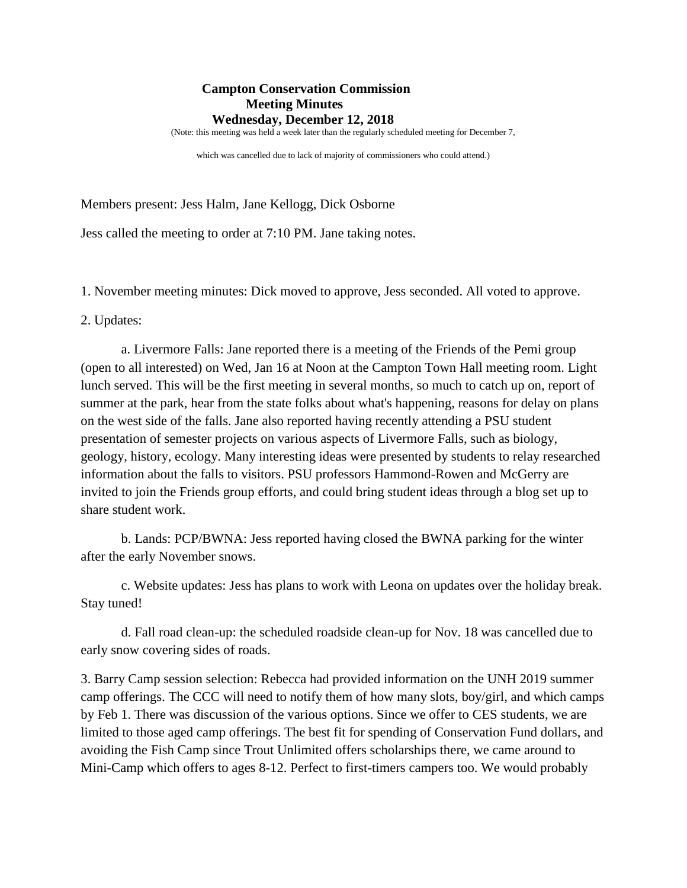## **Campton Conservation Commission Meeting Minutes Wednesday, December 12, 2018**

(Note: this meeting was held a week later than the regularly scheduled meeting for December 7,

which was cancelled due to lack of majority of commissioners who could attend.)

Members present: Jess Halm, Jane Kellogg, Dick Osborne

Jess called the meeting to order at 7:10 PM. Jane taking notes.

1. November meeting minutes: Dick moved to approve, Jess seconded. All voted to approve.

2. Updates:

a. Livermore Falls: Jane reported there is a meeting of the Friends of the Pemi group (open to all interested) on Wed, Jan 16 at Noon at the Campton Town Hall meeting room. Light lunch served. This will be the first meeting in several months, so much to catch up on, report of summer at the park, hear from the state folks about what's happening, reasons for delay on plans on the west side of the falls. Jane also reported having recently attending a PSU student presentation of semester projects on various aspects of Livermore Falls, such as biology, geology, history, ecology. Many interesting ideas were presented by students to relay researched information about the falls to visitors. PSU professors Hammond-Rowen and McGerry are invited to join the Friends group efforts, and could bring student ideas through a blog set up to share student work.

b. Lands: PCP/BWNA: Jess reported having closed the BWNA parking for the winter after the early November snows.

c. Website updates: Jess has plans to work with Leona on updates over the holiday break. Stay tuned!

d. Fall road clean-up: the scheduled roadside clean-up for Nov. 18 was cancelled due to early snow covering sides of roads.

3. Barry Camp session selection: Rebecca had provided information on the UNH 2019 summer camp offerings. The CCC will need to notify them of how many slots, boy/girl, and which camps by Feb 1. There was discussion of the various options. Since we offer to CES students, we are limited to those aged camp offerings. The best fit for spending of Conservation Fund dollars, and avoiding the Fish Camp since Trout Unlimited offers scholarships there, we came around to Mini-Camp which offers to ages 8-12. Perfect to first-timers campers too. We would probably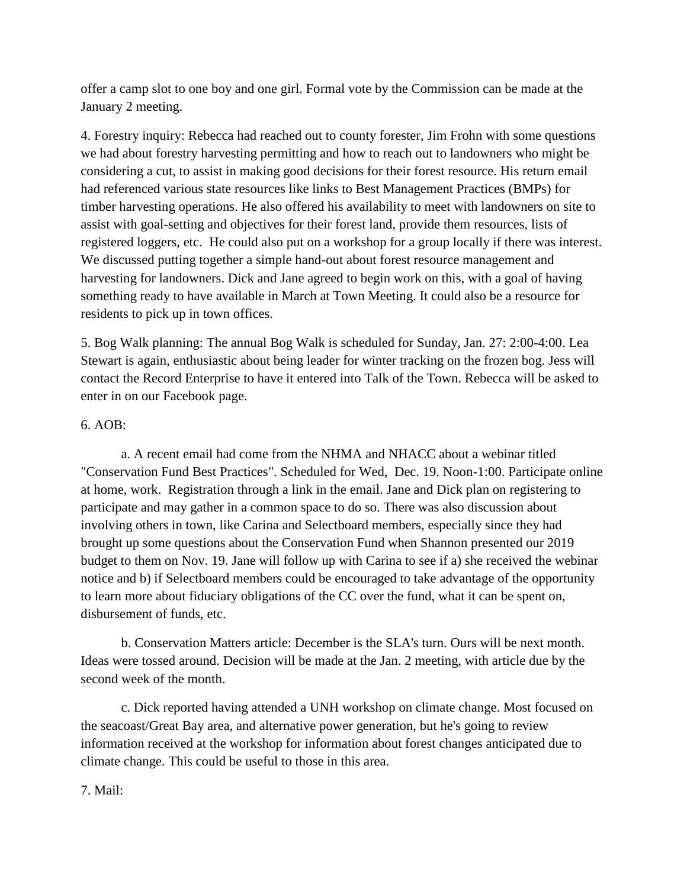offer a camp slot to one boy and one girl. Formal vote by the Commission can be made at the January 2 meeting.

4. Forestry inquiry: Rebecca had reached out to county forester, Jim Frohn with some questions we had about forestry harvesting permitting and how to reach out to landowners who might be considering a cut, to assist in making good decisions for their forest resource. His return email had referenced various state resources like links to Best Management Practices (BMPs) for timber harvesting operations. He also offered his availability to meet with landowners on site to assist with goal-setting and objectives for their forest land, provide them resources, lists of registered loggers, etc. He could also put on a workshop for a group locally if there was interest. We discussed putting together a simple hand-out about forest resource management and harvesting for landowners. Dick and Jane agreed to begin work on this, with a goal of having something ready to have available in March at Town Meeting. It could also be a resource for residents to pick up in town offices.

5. Bog Walk planning: The annual Bog Walk is scheduled for Sunday, Jan. 27: 2:00-4:00. Lea Stewart is again, enthusiastic about being leader for winter tracking on the frozen bog. Jess will contact the Record Enterprise to have it entered into Talk of the Town. Rebecca will be asked to enter in on our Facebook page.

## 6. AOB:

a. A recent email had come from the NHMA and NHACC about a webinar titled "Conservation Fund Best Practices". Scheduled for Wed, Dec. 19. Noon-1:00. Participate online at home, work. Registration through a link in the email. Jane and Dick plan on registering to participate and may gather in a common space to do so. There was also discussion about involving others in town, like Carina and Selectboard members, especially since they had brought up some questions about the Conservation Fund when Shannon presented our 2019 budget to them on Nov. 19. Jane will follow up with Carina to see if a) she received the webinar notice and b) if Selectboard members could be encouraged to take advantage of the opportunity to learn more about fiduciary obligations of the CC over the fund, what it can be spent on, disbursement of funds, etc.

b. Conservation Matters article: December is the SLA's turn. Ours will be next month. Ideas were tossed around. Decision will be made at the Jan. 2 meeting, with article due by the second week of the month.

c. Dick reported having attended a UNH workshop on climate change. Most focused on the seacoast/Great Bay area, and alternative power generation, but he's going to review information received at the workshop for information about forest changes anticipated due to climate change. This could be useful to those in this area.

## 7. Mail: